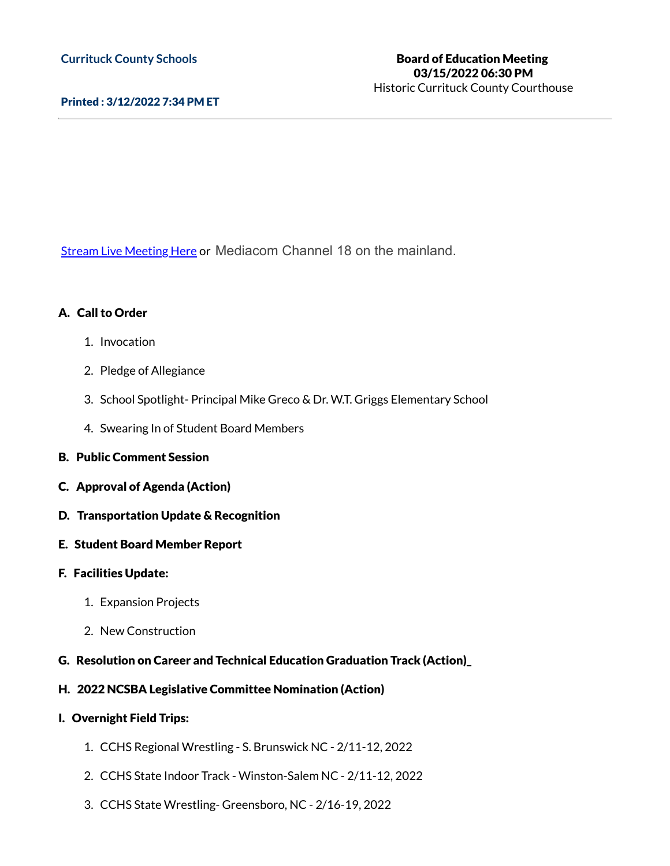### Printed : 3/12/2022 7:34 PM ET

Stream Live [Meeting](http://currituckcountync.iqm2.com/Citizens/default.aspx) Here or Mediacom Channel 18 on the mainland.

#### A. Call to Order

- 1. Invocation
- 2. Pledge of Allegiance
- 3. School Spotlight- Principal Mike Greco & Dr. W.T. Griggs Elementary School
- 4. Swearing In of Student Board Members
- B. Public Comment Session
- C. Approval of Agenda (Action)
- D. Transportation Update & Recognition
- E. Student Board Member Report
- F. Facilities Update:
	- 1. Expansion Projects
	- 2. New Construction
- G. Resolution on Career and Technical Education Graduation Track (Action)\_

#### H. 2022 NCSBA Legislative Committee Nomination (Action)

- I. Overnight Field Trips:
	- 1. CCHS Regional Wrestling S. Brunswick NC 2/11-12, 2022
	- 2. CCHS State Indoor Track Winston-Salem NC 2/11-12, 2022
	- 3. CCHS State Wrestling- Greensboro, NC 2/16-19, 2022